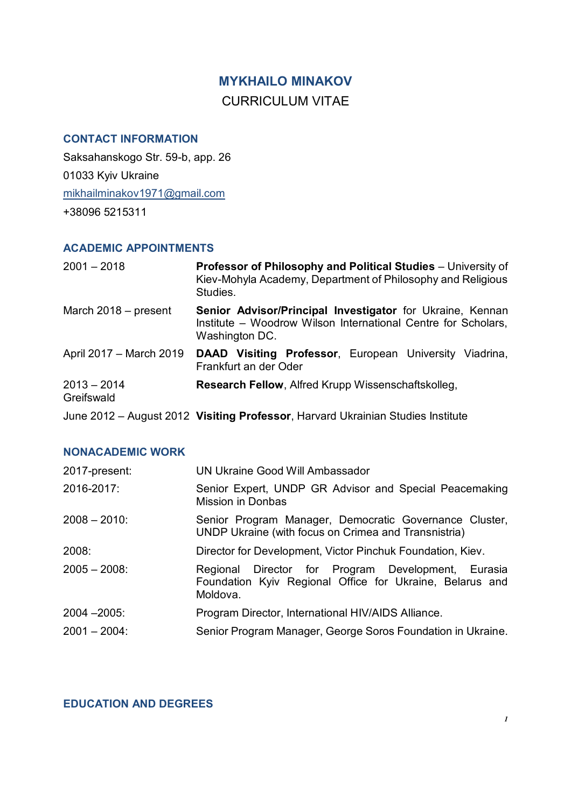## **MYKHAILO MINAKOV** CURRICULUM VITAE

#### **CONTACT INFORMATION**

Saksahanskogo Str. 59-b, app. 26 01033 Kyiv Ukraine mikhailminakov1971@gmail.com +38096 5215311

#### **ACADEMIC APPOINTMENTS**

| $2001 - 2018$               | Professor of Philosophy and Political Studies - University of<br>Kiev-Mohyla Academy, Department of Philosophy and Religious<br>Studies.     |
|-----------------------------|----------------------------------------------------------------------------------------------------------------------------------------------|
| March $2018$ – present      | Senior Advisor/Principal Investigator for Ukraine, Kennan<br>Institute – Woodrow Wilson International Centre for Scholars,<br>Washington DC. |
| April 2017 - March 2019     | <b>DAAD Visiting Professor, European University Viadrina,</b><br>Frankfurt an der Oder                                                       |
| $2013 - 2014$<br>Greifswald | Research Fellow, Alfred Krupp Wissenschaftskolleg,                                                                                           |
|                             | June 2012 - August 2012 Visiting Professor, Harvard Ukrainian Studies Institute                                                              |

#### **NONACADEMIC WORK**

| 2017-present:   | UN Ukraine Good Will Ambassador                                                                                            |
|-----------------|----------------------------------------------------------------------------------------------------------------------------|
| 2016-2017:      | Senior Expert, UNDP GR Advisor and Special Peacemaking<br><b>Mission in Donbas</b>                                         |
| $2008 - 2010$   | Senior Program Manager, Democratic Governance Cluster,<br>UNDP Ukraine (with focus on Crimea and Transnistria)             |
| 2008:           | Director for Development, Victor Pinchuk Foundation, Kiev.                                                                 |
| $2005 - 2008$   | Regional Director for Program Development, Eurasia<br>Foundation Kyiv Regional Office for Ukraine, Belarus and<br>Moldova. |
| $2004 - 2005$   | Program Director, International HIV/AIDS Alliance.                                                                         |
| $2001 - 2004$ : | Senior Program Manager, George Soros Foundation in Ukraine.                                                                |

### **EDUCATION AND DEGREES**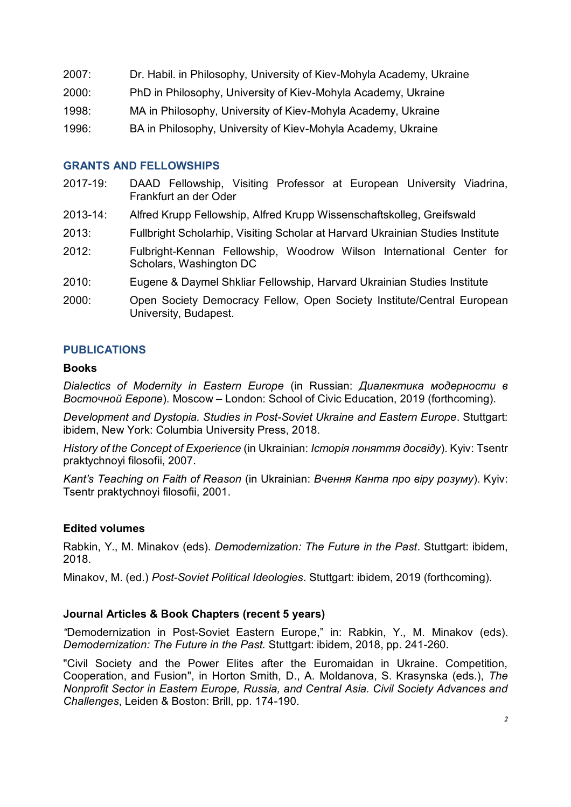- 2007: Dr. Habil. in Philosophy, University of Kiev-Mohyla Academy, Ukraine
- 2000: PhD in Philosophy, University of Kiev-Mohyla Academy, Ukraine
- 1998: MA in Philosophy, University of Kiev-Mohyla Academy, Ukraine
- 1996: BA in Philosophy, University of Kiev-Mohyla Academy, Ukraine

#### **GRANTS AND FELLOWSHIPS**

- 2017-19: DAAD Fellowship, Visiting Professor at European University Viadrina, Frankfurt an der Oder
- 2013-14: Alfred Krupp Fellowship, Alfred Krupp Wissenschaftskolleg, Greifswald
- 2013: Fullbright Scholarhip, Visiting Scholar at Harvard Ukrainian Studies Institute
- 2012: Fulbright-Kennan Fellowship, Woodrow Wilson International Center for Scholars, Washington DC
- 2010: Eugene & Daymel Shkliar Fellowship, Harvard Ukrainian Studies Institute
- 2000: Open Society Democracy Fellow, Open Society Institute/Central European University, Budapest.

### **PUBLICATIONS**

#### **Books**

*Dialectics of Modernity in Eastern Europe* (in Russian: *Диалектика модерности в Восточной Европе*). Moscow – London: School of Civic Education, 2019 (forthcoming).

*Development and Dystopia. Studies in Post-Soviet Ukraine and Eastern Europe*. Stuttgart: ibidem, New York: Columbia University Press, 2018.

*History of the Concept of Experience* (in Ukrainian: *Історія поняття досвіду*). Kyiv: Tsentr praktychnoyi filosofii, 2007.

*Kant's Teaching on Faith of Reason* (in Ukrainian: *Вчення Канта про віру розуму*). Kyiv: Tsentr praktychnoyi filosofii, 2001.

#### **Edited volumes**

Rabkin, Y., M. Minakov (eds). *Demodernization: The Future in the Past*. Stuttgart: ibidem, 2018.

Minakov, M. (ed.) *Post-Soviet Political Ideologies*. Stuttgart: ibidem, 2019 (forthcoming).

#### **Journal Articles & Book Chapters (recent 5 years)**

*"*Demodernization in Post-Soviet Eastern Europe," in: Rabkin, Y., M. Minakov (eds). *Demodernization: The Future in the Past.* Stuttgart: ibidem, 2018, pp. 241-260.

"Civil Society and the Power Elites after the Euromaidan in Ukraine. Competition, Cooperation, and Fusion", in Horton Smith, D., A. Moldanova, S. Krasynska (eds.), *The Nonprofit Sector in Eastern Europe, Russia, and Central Asia. Civil Society Advances and Challenges*, Leiden & Boston: Brill, pp. 174-190.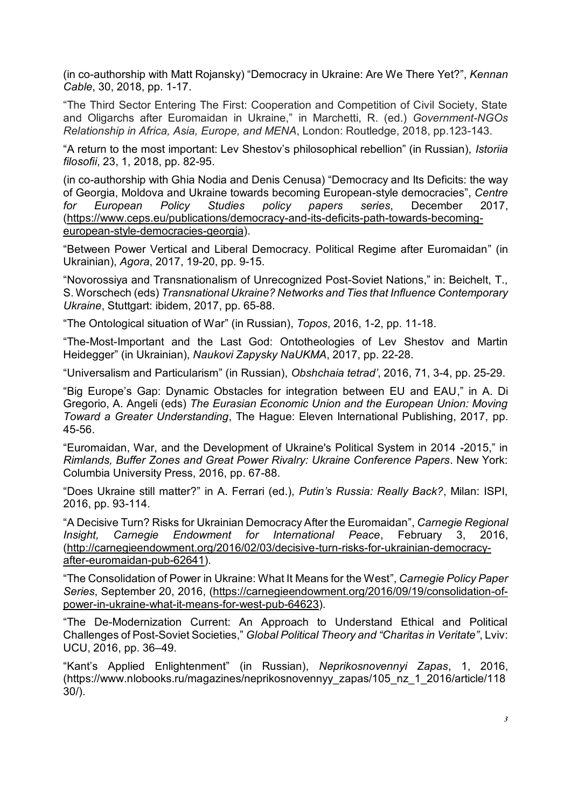(in co-authorship with Matt Rojansky) "Democracy in Ukraine: Are We There Yet?", *Kennan Cable*, 30, 2018, pp. 1-17.

"The Third Sector Entering The First: Cooperation and Competition of Civil Society, State and Oligarchs after Euromaidan in Ukraine," in Marchetti, R. (ed.) *Government-NGOs Relationship in Africa, Asia, Europe, and MENA*, London: Routledge, 2018, pp.123-143.

"A return to the most important: Lev Shestov's philosophical rebellion" (in Russian), *Istoriia filosofii*, 23, 1, 2018, pp. 82-95.

(in co-authorship with Ghia Nodia and Denis Cenusa) "Democracy and Its Deficits: the way of Georgia, Moldova and Ukraine towards becoming European-style democracies", *Centre for European Policy Studies policy papers series*, December 2017, (https://www.ceps.eu/publications/democracy-and-its-deficits-path-towards-becomingeuropean-style-democracies-georgia).

"Between Power Vertical and Liberal Democracy. Political Regime after Euromaidan" (in Ukrainian), *Agora*, 2017, 19-20, pp. 9-15.

"Novorossiya and Transnationalism of Unrecognized Post-Soviet Nations," in: Beichelt, T., S. Worschech (eds) *Transnational Ukraine? Networks and Ties that Influence Contemporary Ukraine*, Stuttgart: ibidem, 2017, pp. 65-88.

"The Ontological situation of War" (in Russian), *Topos*, 2016, 1-2, pp. 11-18.

"The-Most-Important and the Last God: Ontotheologies of Lev Shestov and Martin Heidegger" (in Ukrainian), *Naukovi Zapysky NaUKMA*, 2017, pp. 22-28.

"Universalism and Particularism" (in Russian), *Obshchaia tetrad'*, 2016, 71, 3-4, pp. 25-29.

"Big Europe's Gap: Dynamic Obstacles for integration between EU and EAU," in A. Di Gregorio, A. Angeli (eds) *The Eurasian Economic Union and the European Union: Moving Toward a Greater Understanding*, The Hague: Eleven International Publishing, 2017, pp. 45-56.

"Euromaidan, War, and the Development of Ukraine's Political System in 2014 -2015," in *Rimlands, Buffer Zones and Great Power Rivalry: Ukraine Conference Papers*. New York: Columbia University Press, 2016, pp. 67-88.

"Does Ukraine still matter?" in A. Ferrari (ed.), *Putin's Russia: Really Back?*, Milan: ISPI, 2016, pp. 93-114.

"A Decisive Turn? Risks for Ukrainian Democracy After the Euromaidan", *Carnegie Regional Insight, Carnegie Endowment for International Peace*, February 3, 2016, (http://carnegieendowment.org/2016/02/03/decisive-turn-risks-for-ukrainian-democracyafter-euromaidan-pub-62641).

"The Consolidation of Power in Ukraine: What It Means for the West", *Carnegie Policy Paper Series*, September 20, 2016, (https://carnegieendowment.org/2016/09/19/consolidation-ofpower-in-ukraine-what-it-means-for-west-pub-64623).

"The De-Modernization Current: An Approach to Understand Ethical and Political Challenges of Post-Soviet Societies," *Global Political Theory and "Charitas in Veritate"*, Lviv: UСU, 2016, pp. 36–49.

"Kant's Applied Enlightenment" (in Russian), *Neprikosnovennyi Zapas*, 1, 2016, (https://www.nlobooks.ru/magazines/neprikosnovennyy\_zapas/105\_nz\_1\_2016/article/118 30/).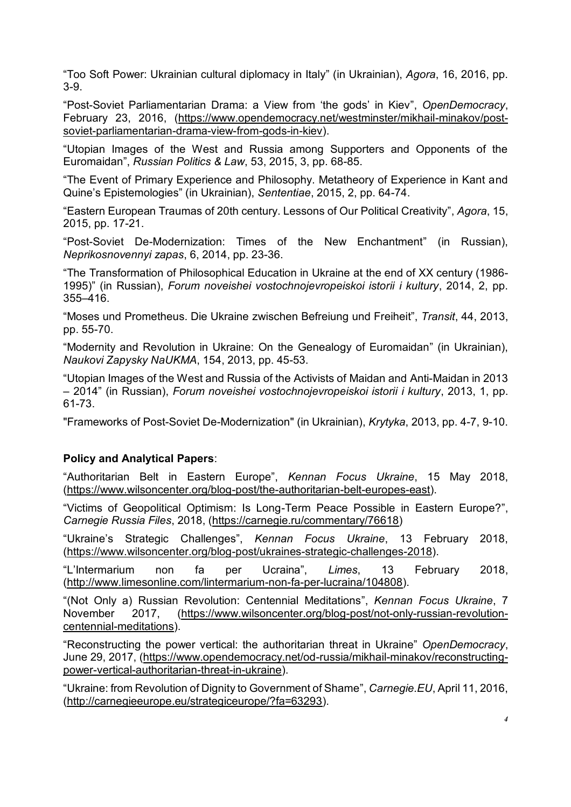"Too Soft Power: Ukrainian cultural diplomacy in Italy" (in Ukrainian), *Agora*, 16, 2016, pp. 3-9.

"Post-Soviet Parliamentarian Drama: a View from 'the gods' in Kiev", *OpenDemocracy*, February 23, 2016, (https://www.opendemocracy.net/westminster/mikhail-minakov/postsoviet-parliamentarian-drama-view-from-gods-in-kiev).

"Utopian Images of the West and Russia among Supporters and Opponents of the Euromaidan", *Russian Politics & Law*, 53, 2015, 3, pp. 68-85.

"The Event of Primary Experience and Philosophy. Metatheory of Experience in Kant and Quine's Epistemologies" (in Ukrainian), *Sententiae*, 2015, 2, pp. 64-74.

"Eastern European Traumas of 20th century. Lessons of Our Political Creativity", *Agora*, 15, 2015, pp. 17-21.

"Post-Soviet De-Modernization: Times of the New Enchantment" (in Russian), *Neprikosnovennyi zapas*, 6, 2014, pp. 23-36.

"The Transformation of Philosophical Education in Ukraine at the end of XX century (1986- 1995)" (in Russian), *Forum noveishei vostochnojevropeiskoi istorii i kultury*, 2014, 2, pp. 355–416.

"Moses und Prometheus. Die Ukraine zwischen Befreiung und Freiheit", *Transit*, 44, 2013, pp. 55-70.

"Modernity and Revolution in Ukraine: On the Genealogy of Euromaidan" (in Ukrainian), *Naukovi Zapysky NaUKMA*, 154, 2013, pp. 45-53.

"Utopian Images of the West and Russia of the Activists of Maidan and Anti-Maidan in 2013 – 2014" (in Russian), *Forum noveishei vostochnojevropeiskoi istorii i kultury*, 2013, 1, pp. 61-73.

"Frameworks of Post-Soviet De-Modernization" (in Ukrainian), *Krytyka*, 2013, pp. 4-7, 9-10.

#### **Policy and Analytical Papers**:

"Authoritarian Belt in Eastern Europe", *Kennan Focus Ukraine*, 15 May 2018, (https://www.wilsoncenter.org/blog-post/the-authoritarian-belt-europes-east).

"Victims of Geopolitical Optimism: Is Long-Term Peace Possible in Eastern Europe?", *Carnegie Russia Files*, 2018, (https://carnegie.ru/commentary/76618)

"Ukraine's Strategic Challenges", *Kennan Focus Ukraine*, 13 February 2018, (https://www.wilsoncenter.org/blog-post/ukraines-strategic-challenges-2018).

"L'Intermarium non fa per Ucraina", *Limes*, 13 February 2018, (http://www.limesonline.com/lintermarium-non-fa-per-lucraina/104808).

"(Not Only a) Russian Revolution: Centennial Meditations", *Kennan Focus Ukraine*, 7 November 2017, (https://www.wilsoncenter.org/blog-post/not-only-russian-revolutioncentennial-meditations).

"Reconstructing the power vertical: the authoritarian threat in Ukraine" *OpenDemocracy*, June 29, 2017, (https://www.opendemocracy.net/od-russia/mikhail-minakov/reconstructingpower-vertical-authoritarian-threat-in-ukraine).

"Ukraine: from Revolution of Dignity to Government of Shame", *Carnegie.EU*, April 11, 2016, (http://carnegieeurope.eu/strategiceurope/?fa=63293).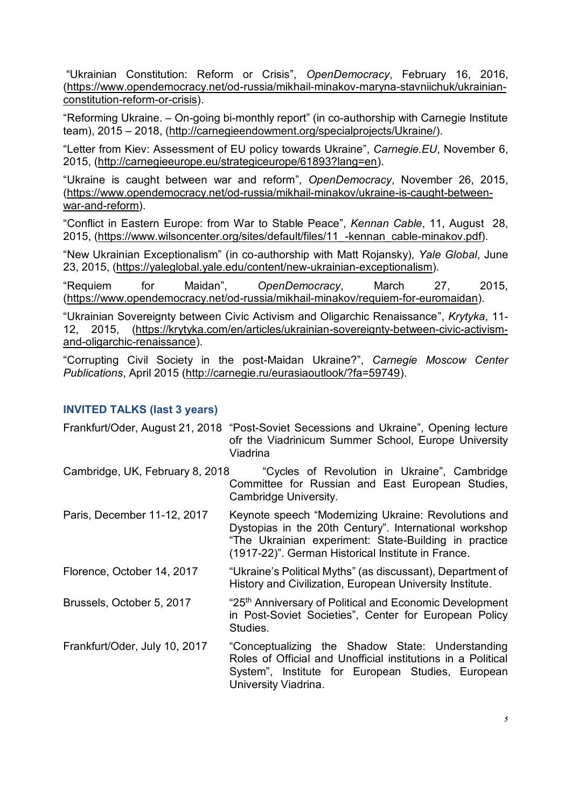"Ukrainian Constitution: Reform or Crisis", *OpenDemocracy*, February 16, 2016, (https://www.opendemocracy.net/od-russia/mikhail-minakov-maryna-stavniichuk/ukrainianconstitution-reform-or-crisis).

"Reforming Ukraine. – On-going bi-monthly report" (in co-authorship with Carnegie Institute team), 2015 – 2018, (http://carnegieendowment.org/specialprojects/Ukraine/).

"Letter from Kiev: Assessment of EU policy towards Ukraine", *Carnegie.EU*, November 6, 2015, (http://carnegieeurope.eu/strategiceurope/61893?lang=en).

"Ukraine is caught between war and reform", *OpenDemocracy*, November 26, 2015, (https://www.opendemocracy.net/od-russia/mikhail-minakov/ukraine-is-caught-betweenwar-and-reform).

"Conflict in Eastern Europe: from War to Stable Peace", *Kennan Cable*, 11, August 28, 2015, (https://www.wilsoncenter.org/sites/default/files/11\_-kennan\_cable-minakov.pdf).

"New Ukrainian Exceptionalism" (in co-authorship with Matt Rojansky), *Yale Global*, June 23, 2015, (https://yaleglobal.yale.edu/content/new-ukrainian-exceptionalism).

"Requiem for Maidan", *OpenDemocracy*, March 27, 2015, (https://www.opendemocracy.net/od-russia/mikhail-minakov/requiem-for-euromaidan).

"Ukrainian Sovereignty between Civic Activism and Oligarchic Renaissance", *Krytyka*, 11- 12, 2015, (https://krytyka.com/en/articles/ukrainian-sovereignty-between-civic-activismand-oligarchic-renaissance).

"Corrupting Civil Society in the post-Maidan Ukraine?", *Carnegie Moscow Center Publications*, April 2015 (http://carnegie.ru/eurasiaoutlook/?fa=59749).

#### **INVITED TALKS (last 3 years)**

|                                 | Frankfurt/Oder, August 21, 2018 "Post-Soviet Secessions and Ukraine", Opening lecture<br>ofr the Viadrinicum Summer School, Europe University<br>Viadrina                                                                     |
|---------------------------------|-------------------------------------------------------------------------------------------------------------------------------------------------------------------------------------------------------------------------------|
| Cambridge, UK, February 8, 2018 | "Cycles of Revolution in Ukraine", Cambridge<br>Committee for Russian and East European Studies,<br>Cambridge University.                                                                                                     |
| Paris, December 11-12, 2017     | Keynote speech "Modernizing Ukraine: Revolutions and<br>Dystopias in the 20th Century". International workshop<br>"The Ukrainian experiment: State-Building in practice<br>(1917-22)". German Historical Institute in France. |
| Florence, October 14, 2017      | "Ukraine's Political Myths" (as discussant), Department of<br>History and Civilization, European University Institute.                                                                                                        |
| Brussels, October 5, 2017       | "25 <sup>th</sup> Anniversary of Political and Economic Development<br>in Post-Soviet Societies", Center for European Policy<br>Studies.                                                                                      |
| Frankfurt/Oder, July 10, 2017   | "Conceptualizing the Shadow State: Understanding<br>Roles of Official and Unofficial institutions in a Political<br>System", Institute for European Studies, European<br>University Viadrina.                                 |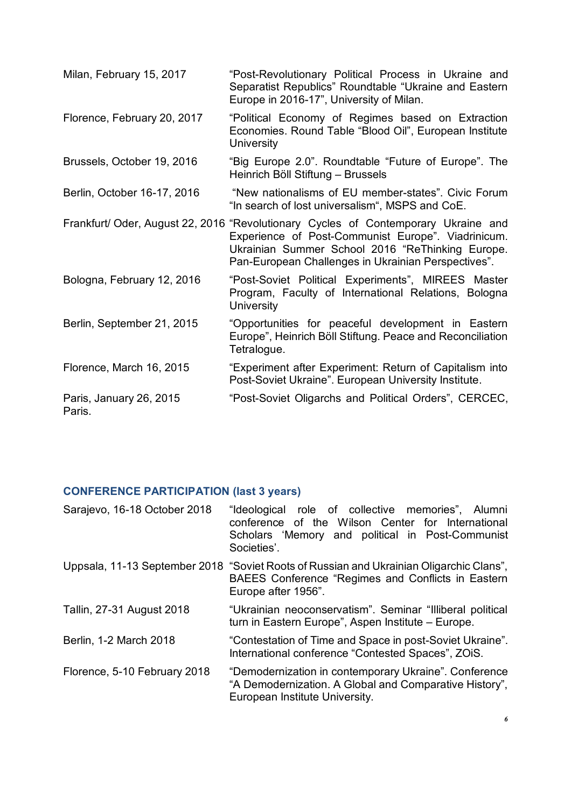| Milan, February 15, 2017          | "Post-Revolutionary Political Process in Ukraine and<br>Separatist Republics" Roundtable "Ukraine and Eastern<br>Europe in 2016-17", University of Milan.                                                                                           |
|-----------------------------------|-----------------------------------------------------------------------------------------------------------------------------------------------------------------------------------------------------------------------------------------------------|
| Florence, February 20, 2017       | "Political Economy of Regimes based on Extraction<br>Economies. Round Table "Blood Oil", European Institute<br>University                                                                                                                           |
| Brussels, October 19, 2016        | "Big Europe 2.0". Roundtable "Future of Europe". The<br>Heinrich Böll Stiftung - Brussels                                                                                                                                                           |
| Berlin, October 16-17, 2016       | "New nationalisms of EU member-states". Civic Forum<br>"In search of lost universalism", MSPS and CoE.                                                                                                                                              |
|                                   | Frankfurt/ Oder, August 22, 2016 "Revolutionary Cycles of Contemporary Ukraine and<br>Experience of Post-Communist Europe". Viadrinicum.<br>Ukrainian Summer School 2016 "ReThinking Europe.<br>Pan-European Challenges in Ukrainian Perspectives". |
| Bologna, February 12, 2016        | "Post-Soviet Political Experiments", MIREES Master<br>Program, Faculty of International Relations, Bologna<br>University                                                                                                                            |
| Berlin, September 21, 2015        | "Opportunities for peaceful development in Eastern<br>Europe", Heinrich Böll Stiftung. Peace and Reconciliation<br>Tetralogue.                                                                                                                      |
| Florence, March 16, 2015          | "Experiment after Experiment: Return of Capitalism into<br>Post-Soviet Ukraine". European University Institute.                                                                                                                                     |
| Paris, January 26, 2015<br>Paris. | "Post-Soviet Oligarchs and Political Orders", CERCEC,                                                                                                                                                                                               |

# **CONFERENCE PARTICIPATION (last 3 years)**

| Sarajevo, 16-18 October 2018 | "Ideological role of collective memories", Alumni<br>conference of the Wilson Center for International<br>Scholars 'Memory and political in Post-Communist<br>Societies'. |
|------------------------------|---------------------------------------------------------------------------------------------------------------------------------------------------------------------------|
|                              | Uppsala, 11-13 September 2018 "Soviet Roots of Russian and Ukrainian Oligarchic Clans",<br>BAEES Conference "Regimes and Conflicts in Eastern<br>Europe after 1956".      |
| Tallin, 27-31 August 2018    | "Ukrainian neoconservatism". Seminar "Illiberal political<br>turn in Eastern Europe", Aspen Institute – Europe.                                                           |
| Berlin, 1-2 March 2018       | "Contestation of Time and Space in post-Soviet Ukraine".<br>International conference "Contested Spaces", ZOIS.                                                            |
| Florence, 5-10 February 2018 | "Demodernization in contemporary Ukraine". Conference<br>"A Demodernization. A Global and Comparative History",<br>European Institute University.                         |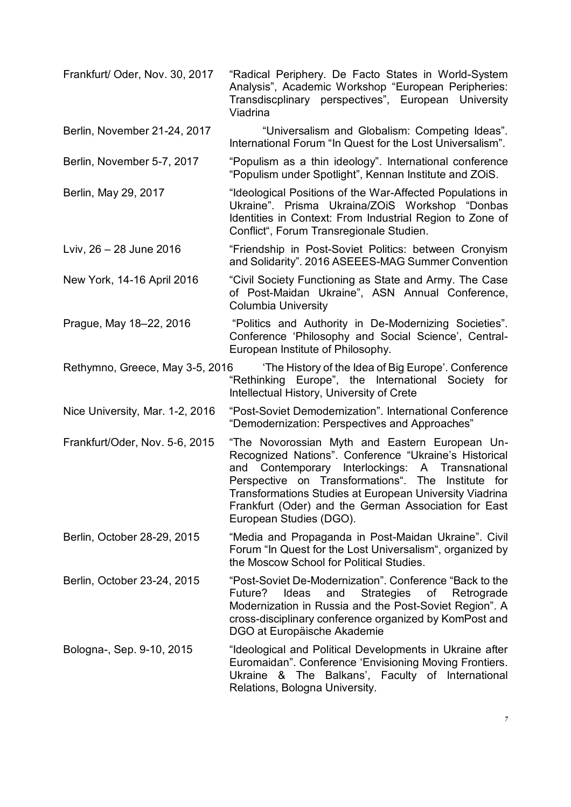Frankfurt/ Oder, Nov. 30, 2017 "Radical Periphery. De Facto States in World-System Analysis", Academic Workshop "European Peripheries: Transdiscplinary perspectives", European University Viadrina Berlin, November 21-24, 2017 "Universalism and Globalism: Competing Ideas". International Forum "In Quest for the Lost Universalism". Berlin, November 5-7, 2017 "Populism as a thin ideology". International conference "Populism under Spotlight", Kennan Institute and ZOiS. Berlin, May 29, 2017 "Ideological Positions of the War-Affected Populations in Ukraine". Prisma Ukraina/ZOiS Workshop "Donbas Identities in Context: From Industrial Region to Zone of Conflict", Forum Transregionale Studien. Lviv, 26 – 28 June 2016 "Friendship in Post-Soviet Politics: between Cronyism and Solidarity". 2016 ASEEES-MAG Summer Convention New York, 14-16 April 2016 "Civil Society Functioning as State and Army. The Case of Post-Maidan Ukraine", ASN Annual Conference, Columbia University Prague, May 18–22, 2016 "Politics and Authority in De-Modernizing Societies". Conference 'Philosophy and Social Science', Central-European Institute of Philosophy. Rethymno, Greece, May 3-5, 2016 'The History of the Idea of Big Europe'. Conference "Rethinking Europe", the International Society for Intellectual History, University of Crete Nice University, Mar. 1-2, 2016 "Post-Soviet Demodernization". International Conference "Demodernization: Perspectives and Approaches" Frankfurt/Oder, Nov. 5‐6, 2015 "The Novorossian Myth and Eastern European Un-Recognized Nations". Conference "Ukraine's Historical and Contemporary Interlockings: A Transnational Perspective on Transformations". The Institute for Transformations Studies at European University Viadrina Frankfurt (Oder) and the German Association for East European Studies (DGO). Berlin, October 28-29, 2015 "Media and Propaganda in Post-Maidan Ukraine". Civil Forum "In Quest for the Lost Universalism", organized by the Moscow School for Political Studies. Berlin, October 23-24, 2015 "Post-Soviet De-Modernization". Conference "Back to the Future? Ideas and Strategies of Retrograde Modernization in Russia and the Post-Soviet Region". A cross-disciplinary conference organized by KomPost and DGO at Europäische Akademie Bologna-, Sep. 9-10, 2015 "Ideological and Political Developments in Ukraine after Euromaidan". Conference 'Envisioning Moving Frontiers. Ukraine & The Balkans', Faculty of International Relations, Bologna University.